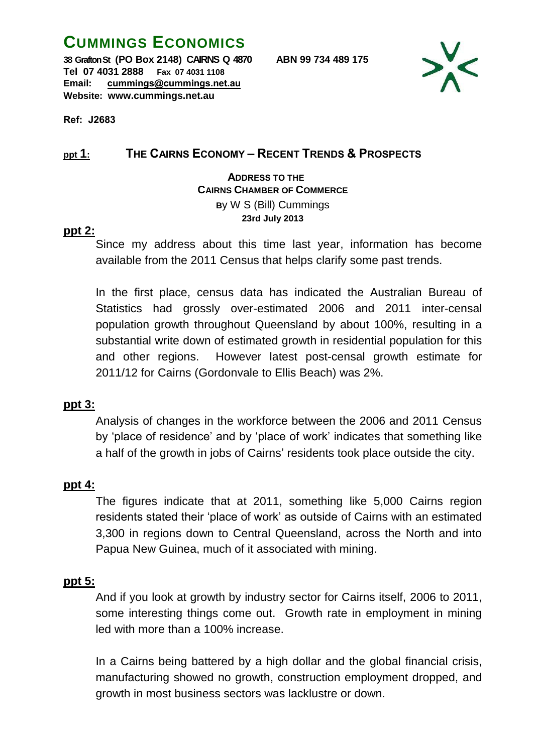# **CUMMINGS ECONOMICS**

**38 Grafton St (PO Box 2148) CAIRNS Q 4870 ABN 99 734 489 175 Tel 07 4031 2888 Fax 07 4031 1108 Email: cummings@cummings.net.au Website: www.cummings.net.au**



**Ref: J2683**

### **ppt 1: THE CAIRNS ECONOMY – RECENT TRENDS & PROSPECTS**

 **ADDRESS TO THE CAIRNS CHAMBER OF COMMERCE B**y W S (Bill) Cummings **23rd July 2013**

### **ppt 2:**

Since my address about this time last year, information has become available from the 2011 Census that helps clarify some past trends.

In the first place, census data has indicated the Australian Bureau of Statistics had grossly over-estimated 2006 and 2011 inter-censal population growth throughout Queensland by about 100%, resulting in a substantial write down of estimated growth in residential population for this and other regions. However latest post-censal growth estimate for 2011/12 for Cairns (Gordonvale to Ellis Beach) was 2%.

### **ppt 3:**

Analysis of changes in the workforce between the 2006 and 2011 Census by 'place of residence' and by 'place of work' indicates that something like a half of the growth in jobs of Cairns' residents took place outside the city.

### **ppt 4:**

The figures indicate that at 2011, something like 5,000 Cairns region residents stated their 'place of work' as outside of Cairns with an estimated 3,300 in regions down to Central Queensland, across the North and into Papua New Guinea, much of it associated with mining.

### **ppt 5:**

And if you look at growth by industry sector for Cairns itself, 2006 to 2011, some interesting things come out. Growth rate in employment in mining led with more than a 100% increase.

In a Cairns being battered by a high dollar and the global financial crisis, manufacturing showed no growth, construction employment dropped, and growth in most business sectors was lacklustre or down.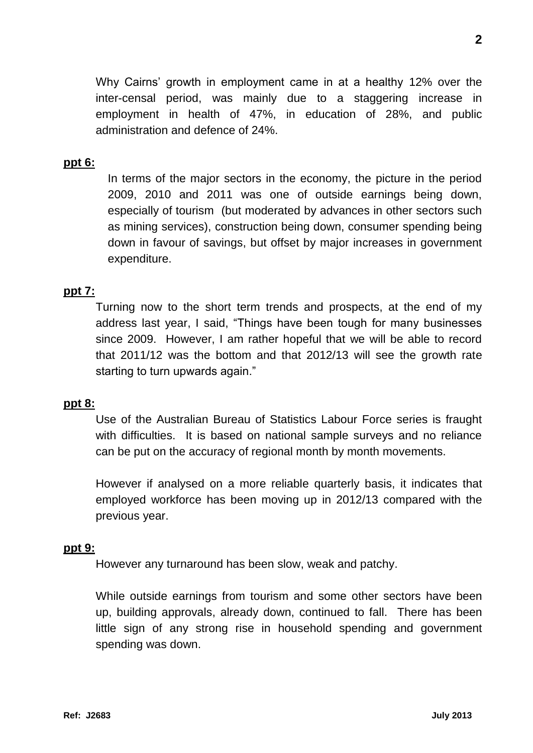Why Cairns' growth in employment came in at a healthy 12% over the inter-censal period, was mainly due to a staggering increase in employment in health of 47%, in education of 28%, and public administration and defence of 24%.

## **ppt 6:**

In terms of the major sectors in the economy, the picture in the period 2009, 2010 and 2011 was one of outside earnings being down, especially of tourism (but moderated by advances in other sectors such as mining services), construction being down, consumer spending being down in favour of savings, but offset by major increases in government expenditure.

# **ppt 7:**

Turning now to the short term trends and prospects, at the end of my address last year, I said, "Things have been tough for many businesses since 2009. However, I am rather hopeful that we will be able to record that 2011/12 was the bottom and that 2012/13 will see the growth rate starting to turn upwards again."

### **ppt 8:**

Use of the Australian Bureau of Statistics Labour Force series is fraught with difficulties. It is based on national sample surveys and no reliance can be put on the accuracy of regional month by month movements.

However if analysed on a more reliable quarterly basis, it indicates that employed workforce has been moving up in 2012/13 compared with the previous year.

### **ppt 9:**

However any turnaround has been slow, weak and patchy.

While outside earnings from tourism and some other sectors have been up, building approvals, already down, continued to fall. There has been little sign of any strong rise in household spending and government spending was down.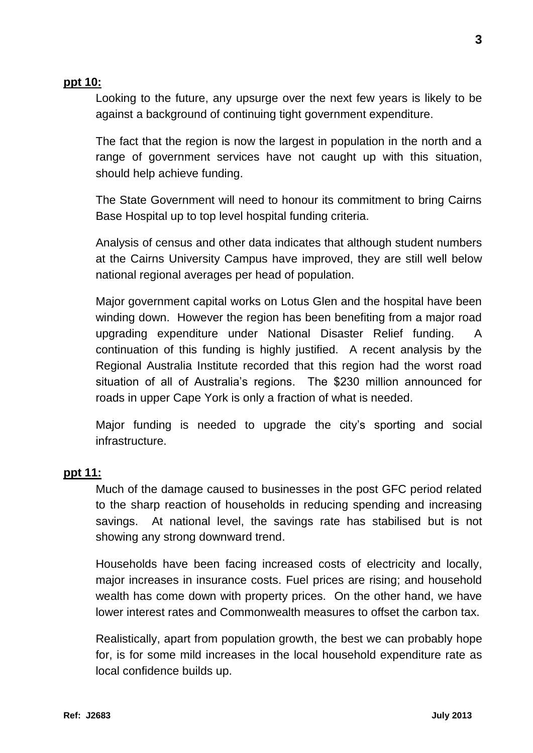### **ppt 10:**

Looking to the future, any upsurge over the next few years is likely to be against a background of continuing tight government expenditure.

The fact that the region is now the largest in population in the north and a range of government services have not caught up with this situation, should help achieve funding.

The State Government will need to honour its commitment to bring Cairns Base Hospital up to top level hospital funding criteria.

Analysis of census and other data indicates that although student numbers at the Cairns University Campus have improved, they are still well below national regional averages per head of population.

Major government capital works on Lotus Glen and the hospital have been winding down. However the region has been benefiting from a major road upgrading expenditure under National Disaster Relief funding. A continuation of this funding is highly justified. A recent analysis by the Regional Australia Institute recorded that this region had the worst road situation of all of Australia's regions. The \$230 million announced for roads in upper Cape York is only a fraction of what is needed.

Major funding is needed to upgrade the city's sporting and social infrastructure.

### **ppt 11:**

Much of the damage caused to businesses in the post GFC period related to the sharp reaction of households in reducing spending and increasing savings. At national level, the savings rate has stabilised but is not showing any strong downward trend.

Households have been facing increased costs of electricity and locally, major increases in insurance costs. Fuel prices are rising; and household wealth has come down with property prices. On the other hand, we have lower interest rates and Commonwealth measures to offset the carbon tax.

Realistically, apart from population growth, the best we can probably hope for, is for some mild increases in the local household expenditure rate as local confidence builds up.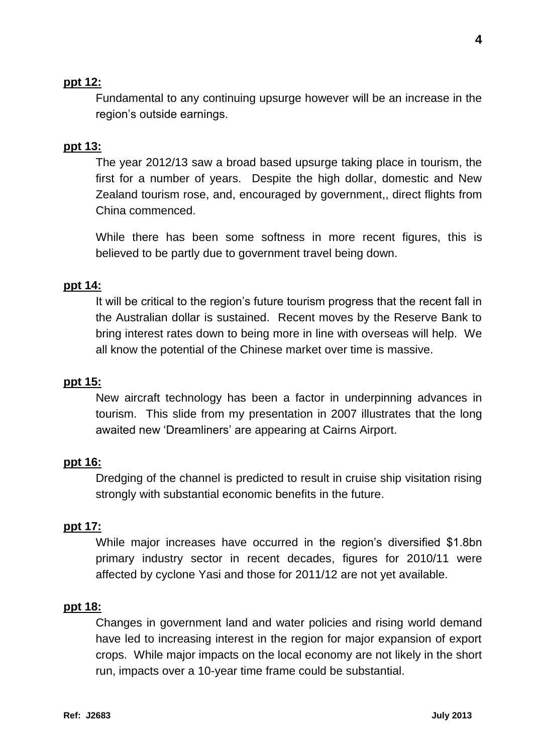### **ppt 12:**

Fundamental to any continuing upsurge however will be an increase in the region's outside earnings.

### **ppt 13:**

The year 2012/13 saw a broad based upsurge taking place in tourism, the first for a number of years. Despite the high dollar, domestic and New Zealand tourism rose, and, encouraged by government,, direct flights from China commenced.

While there has been some softness in more recent figures, this is believed to be partly due to government travel being down.

#### **ppt 14:**

It will be critical to the region's future tourism progress that the recent fall in the Australian dollar is sustained. Recent moves by the Reserve Bank to bring interest rates down to being more in line with overseas will help. We all know the potential of the Chinese market over time is massive.

#### **ppt 15:**

New aircraft technology has been a factor in underpinning advances in tourism. This slide from my presentation in 2007 illustrates that the long awaited new 'Dreamliners' are appearing at Cairns Airport.

#### **ppt 16:**

Dredging of the channel is predicted to result in cruise ship visitation rising strongly with substantial economic benefits in the future.

#### **ppt 17:**

While major increases have occurred in the region's diversified \$1.8bn primary industry sector in recent decades, figures for 2010/11 were affected by cyclone Yasi and those for 2011/12 are not yet available.

#### **ppt 18:**

Changes in government land and water policies and rising world demand have led to increasing interest in the region for major expansion of export crops. While major impacts on the local economy are not likely in the short run, impacts over a 10-year time frame could be substantial.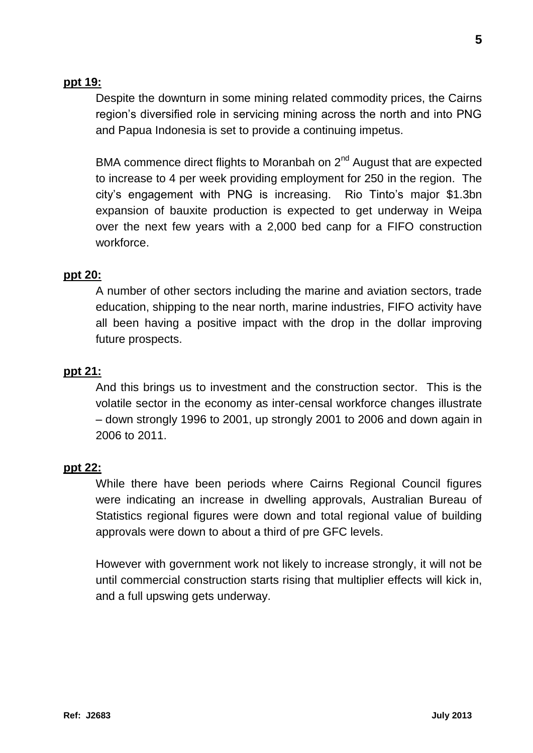### **ppt 19:**

Despite the downturn in some mining related commodity prices, the Cairns region's diversified role in servicing mining across the north and into PNG and Papua Indonesia is set to provide a continuing impetus.

BMA commence direct flights to Moranbah on 2<sup>nd</sup> August that are expected to increase to 4 per week providing employment for 250 in the region. The city's engagement with PNG is increasing. Rio Tinto's major \$1.3bn expansion of bauxite production is expected to get underway in Weipa over the next few years with a 2,000 bed canp for a FIFO construction workforce.

#### **ppt 20:**

A number of other sectors including the marine and aviation sectors, trade education, shipping to the near north, marine industries, FIFO activity have all been having a positive impact with the drop in the dollar improving future prospects.

#### **ppt 21:**

And this brings us to investment and the construction sector. This is the volatile sector in the economy as inter-censal workforce changes illustrate – down strongly 1996 to 2001, up strongly 2001 to 2006 and down again in 2006 to 2011.

#### **ppt 22:**

While there have been periods where Cairns Regional Council figures were indicating an increase in dwelling approvals, Australian Bureau of Statistics regional figures were down and total regional value of building approvals were down to about a third of pre GFC levels.

However with government work not likely to increase strongly, it will not be until commercial construction starts rising that multiplier effects will kick in, and a full upswing gets underway.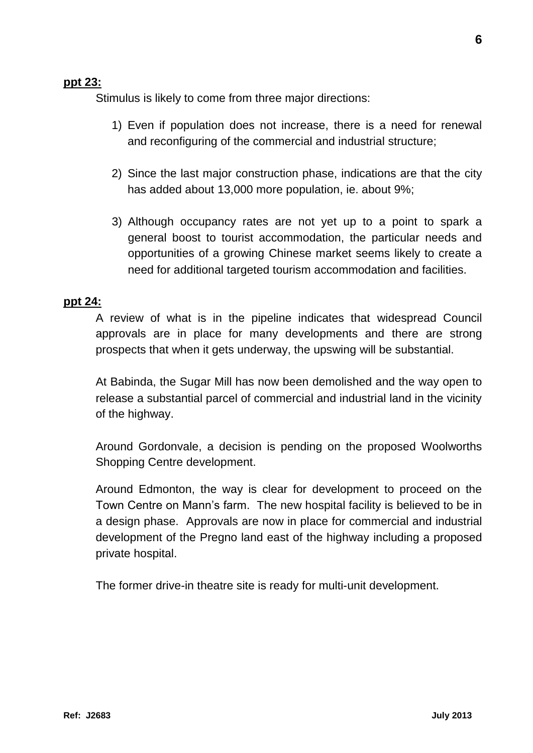### **ppt 23:**

Stimulus is likely to come from three major directions:

- 1) Even if population does not increase, there is a need for renewal and reconfiguring of the commercial and industrial structure;
- 2) Since the last major construction phase, indications are that the city has added about 13,000 more population, ie. about 9%;
- 3) Although occupancy rates are not yet up to a point to spark a general boost to tourist accommodation, the particular needs and opportunities of a growing Chinese market seems likely to create a need for additional targeted tourism accommodation and facilities.

### **ppt 24:**

A review of what is in the pipeline indicates that widespread Council approvals are in place for many developments and there are strong prospects that when it gets underway, the upswing will be substantial.

At Babinda, the Sugar Mill has now been demolished and the way open to release a substantial parcel of commercial and industrial land in the vicinity of the highway.

Around Gordonvale, a decision is pending on the proposed Woolworths Shopping Centre development.

Around Edmonton, the way is clear for development to proceed on the Town Centre on Mann's farm. The new hospital facility is believed to be in a design phase. Approvals are now in place for commercial and industrial development of the Pregno land east of the highway including a proposed private hospital.

The former drive-in theatre site is ready for multi-unit development.